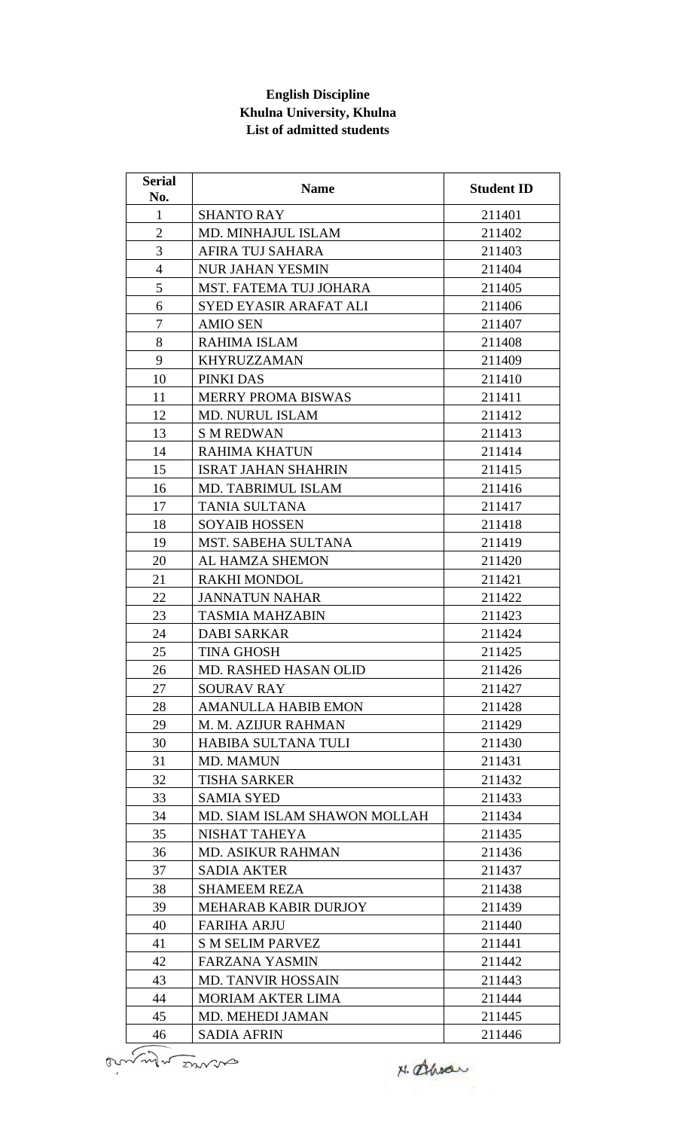## **English Discipline Khulna University, Khulna List of admitted students**

| <b>Serial</b><br>No. | <b>Name</b>                  | <b>Student ID</b> |
|----------------------|------------------------------|-------------------|
| 1                    | <b>SHANTO RAY</b>            | 211401            |
| $\overline{2}$       | MD. MINHAJUL ISLAM           | 211402            |
| 3                    | AFIRA TUJ SAHARA             | 211403            |
| $\overline{4}$       | <b>NUR JAHAN YESMIN</b>      | 211404            |
| 5                    | MST. FATEMA TUJ JOHARA       | 211405            |
| 6                    | SYED EYASIR ARAFAT ALI       | 211406            |
| $\tau$               | <b>AMIO SEN</b>              | 211407            |
| 8                    | RAHIMA ISLAM                 | 211408            |
| 9                    | <b>KHYRUZZAMAN</b>           | 211409            |
| 10                   | PINKI DAS                    | 211410            |
| 11                   | <b>MERRY PROMA BISWAS</b>    | 211411            |
| 12                   | <b>MD. NURUL ISLAM</b>       | 211412            |
| 13                   | <b>S M REDWAN</b>            | 211413            |
| 14                   | <b>RAHIMA KHATUN</b>         | 211414            |
| 15                   | <b>ISRAT JAHAN SHAHRIN</b>   | 211415            |
| 16                   | MD. TABRIMUL ISLAM           | 211416            |
| 17                   | <b>TANIA SULTANA</b>         | 211417            |
| 18                   | <b>SOYAIB HOSSEN</b>         | 211418            |
| 19                   | MST. SABEHA SULTANA          | 211419            |
| 20                   | AL HAMZA SHEMON              | 211420            |
| 21                   | <b>RAKHI MONDOL</b>          | 211421            |
| 22                   | <b>JANNATUN NAHAR</b>        | 211422            |
| 23                   | <b>TASMIA MAHZABIN</b>       | 211423            |
| 24                   | <b>DABI SARKAR</b>           | 211424            |
| 25                   | <b>TINA GHOSH</b>            | 211425            |
| 26                   | <b>MD. RASHED HASAN OLID</b> | 211426            |
| 27                   | <b>SOURAV RAY</b>            | 211427            |
| 28                   | <b>AMANULLA HABIB EMON</b>   | 211428            |
| 29                   | M. M. AZIJUR RAHMAN          | 211429            |
| 30                   | HABIBA SULTANA TULI          | 211430            |
| 31                   | <b>MD. MAMUN</b>             | 211431            |
| 32                   | <b>TISHA SARKER</b>          | 211432            |
| 33                   | <b>SAMIA SYED</b>            | 211433            |
| 34                   | MD. SIAM ISLAM SHAWON MOLLAH | 211434            |
| 35                   | NISHAT TAHEYA                | 211435            |
| 36                   | <b>MD. ASIKUR RAHMAN</b>     | 211436            |
| 37                   | <b>SADIA AKTER</b>           | 211437            |
| 38                   | <b>SHAMEEM REZA</b>          | 211438            |
| 39                   | <b>MEHARAB KABIR DURJOY</b>  | 211439            |
| 40                   | <b>FARIHA ARJU</b>           | 211440            |
| 41                   | <b>S M SELIM PARVEZ</b>      | 211441            |
| 42                   | <b>FARZANA YASMIN</b>        | 211442            |
| 43                   | MD. TANVIR HOSSAIN           | 211443            |
| 44                   | <b>MORIAM AKTER LIMA</b>     | 211444            |
| 45                   | MD. MEHEDI JAMAN             | 211445            |
| 46                   | <b>SADIA AFRIN</b>           | 211446            |

N. Ahran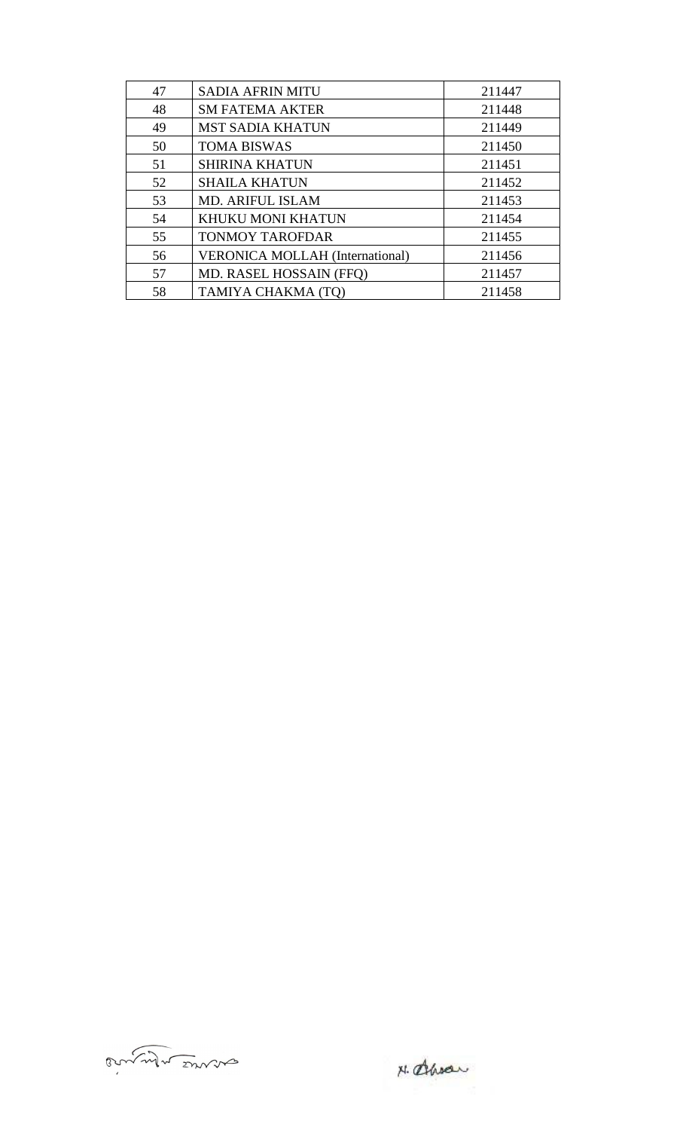| 47 | <b>SADIA AFRIN MITU</b>                | 211447 |
|----|----------------------------------------|--------|
| 48 | <b>SM FATEMA AKTER</b>                 | 211448 |
| 49 | <b>MST SADIA KHATUN</b>                | 211449 |
| 50 | <b>TOMA BISWAS</b>                     | 211450 |
| 51 | <b>SHIRINA KHATUN</b>                  | 211451 |
| 52 | <b>SHAILA KHATUN</b>                   | 211452 |
| 53 | <b>MD. ARIFUL ISLAM</b>                | 211453 |
| 54 | KHUKU MONI KHATUN                      | 211454 |
| 55 | <b>TONMOY TAROFDAR</b>                 | 211455 |
| 56 | <b>VERONICA MOLLAH (International)</b> | 211456 |
| 57 | MD. RASEL HOSSAIN (FFQ)                | 211457 |
| 58 | TAMIYA CHAKMA (TQ)                     | 211458 |



N. amou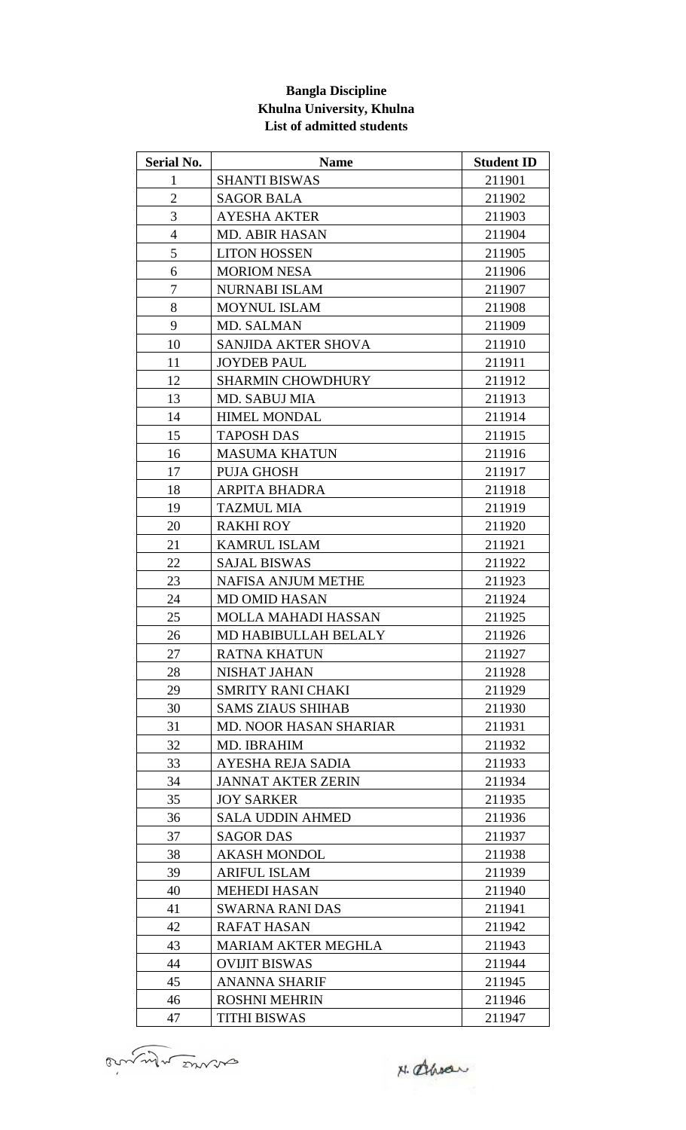### **Bangla Discipline Khulna University, Khulna List of admitted students**

| <b>Serial No.</b> | <b>Name</b>                   | <b>Student ID</b> |
|-------------------|-------------------------------|-------------------|
| $\mathbf{1}$      | <b>SHANTI BISWAS</b>          | 211901            |
| $\overline{2}$    | <b>SAGOR BALA</b>             | 211902            |
| 3                 | <b>AYESHA AKTER</b>           | 211903            |
| $\overline{4}$    | <b>MD. ABIR HASAN</b>         | 211904            |
| 5                 | <b>LITON HOSSEN</b>           | 211905            |
| 6                 | <b>MORIOM NESA</b>            | 211906            |
| 7                 | NURNABI ISLAM                 | 211907            |
| 8                 | <b>MOYNUL ISLAM</b>           | 211908            |
| 9                 | MD. SALMAN                    | 211909            |
| 10                | <b>SANJIDA AKTER SHOVA</b>    | 211910            |
| 11                | <b>JOYDEB PAUL</b>            | 211911            |
| 12                | <b>SHARMIN CHOWDHURY</b>      | 211912            |
| 13                | MD. SABUJ MIA                 | 211913            |
| 14                | <b>HIMEL MONDAL</b>           | 211914            |
| 15                | <b>TAPOSH DAS</b>             | 211915            |
| 16                | <b>MASUMA KHATUN</b>          | 211916            |
| 17                | <b>PUJA GHOSH</b>             | 211917            |
| 18                | ARPITA BHADRA                 | 211918            |
| 19                | <b>TAZMUL MIA</b>             | 211919            |
| 20                | <b>RAKHI ROY</b>              | 211920            |
| 21                | <b>KAMRUL ISLAM</b>           | 211921            |
| 22                | <b>SAJAL BISWAS</b>           | 211922            |
| 23                | <b>NAFISA ANJUM METHE</b>     | 211923            |
| 24                | <b>MD OMID HASAN</b>          | 211924            |
| 25                | <b>MOLLA MAHADI HASSAN</b>    | 211925            |
| 26                | MD HABIBULLAH BELALY          | 211926            |
| 27                | RATNA KHATUN                  | 211927            |
| 28                | NISHAT JAHAN                  | 211928            |
| 29                | <b>SMRITY RANI CHAKI</b>      | 211929            |
| 30                | <b>SAMS ZIAUS SHIHAB</b>      | 211930            |
| 31                | <b>MD. NOOR HASAN SHARIAR</b> | 211931            |
| 32                | MD. IBRAHIM                   | 211932            |
| 33                | AYESHA REJA SADIA             | 211933            |
| 34                | <b>JANNAT AKTER ZERIN</b>     | 211934            |
| 35                | <b>JOY SARKER</b>             | 211935            |
| 36                | <b>SALA UDDIN AHMED</b>       | 211936            |
| 37                | <b>SAGOR DAS</b>              | 211937            |
| 38                | <b>AKASH MONDOL</b>           | 211938            |
| 39                | <b>ARIFUL ISLAM</b>           | 211939            |
| 40                | <b>MEHEDI HASAN</b>           | 211940            |
| 41                | <b>SWARNA RANI DAS</b>        | 211941            |
| 42                | <b>RAFAT HASAN</b>            | 211942            |
| 43                | <b>MARIAM AKTER MEGHLA</b>    | 211943            |
| 44                | <b>OVIJIT BISWAS</b>          | 211944            |
| 45                | <b>ANANNA SHARIF</b>          | 211945            |
| 46                | <b>ROSHNI MEHRIN</b>          | 211946            |
| 47                | <b>TITHI BISWAS</b>           | 211947            |

annul mors

N. Ahran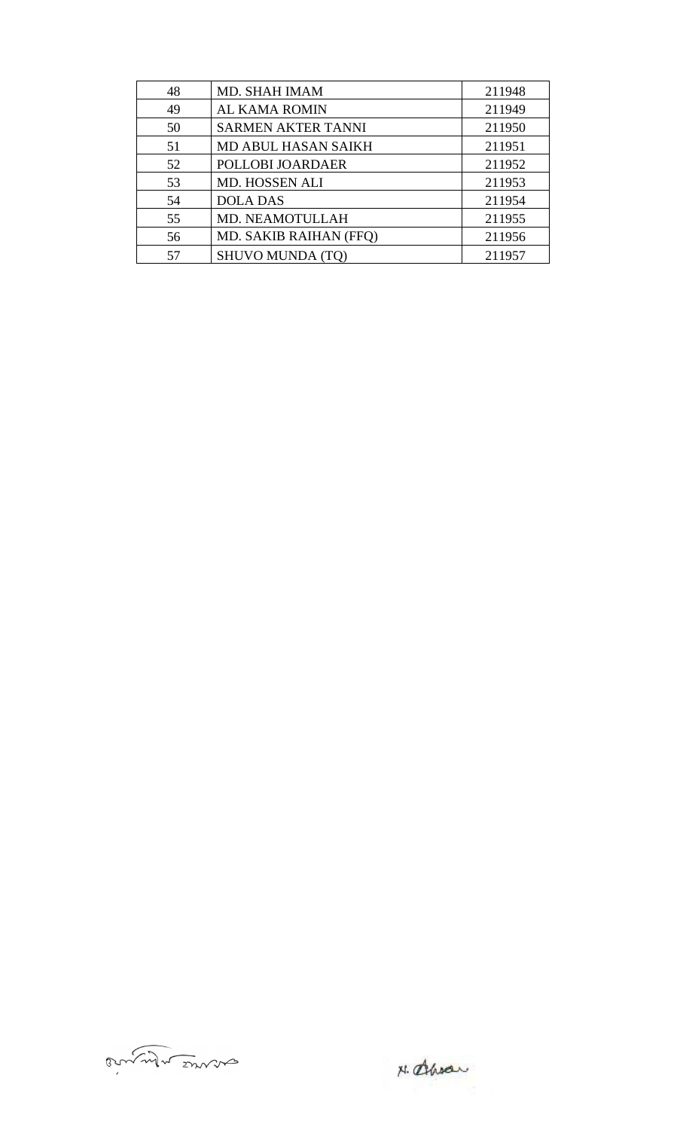| 48 | MD. SHAH IMAM              | 211948 |
|----|----------------------------|--------|
| 49 | AL KAMA ROMIN              | 211949 |
| 50 | <b>SARMEN AKTER TANNI</b>  | 211950 |
| 51 | <b>MD ABUL HASAN SAIKH</b> | 211951 |
| 52 | POLLOBI JOARDAER           | 211952 |
| 53 | MD. HOSSEN ALI             | 211953 |
| 54 | <b>DOLA DAS</b>            | 211954 |
| 55 | MD. NEAMOTULLAH            | 211955 |
| 56 | MD. SAKIB RAIHAN (FFQ)     | 211956 |
| 57 | <b>SHUVO MUNDA (TO)</b>    | 211957 |



N. alhody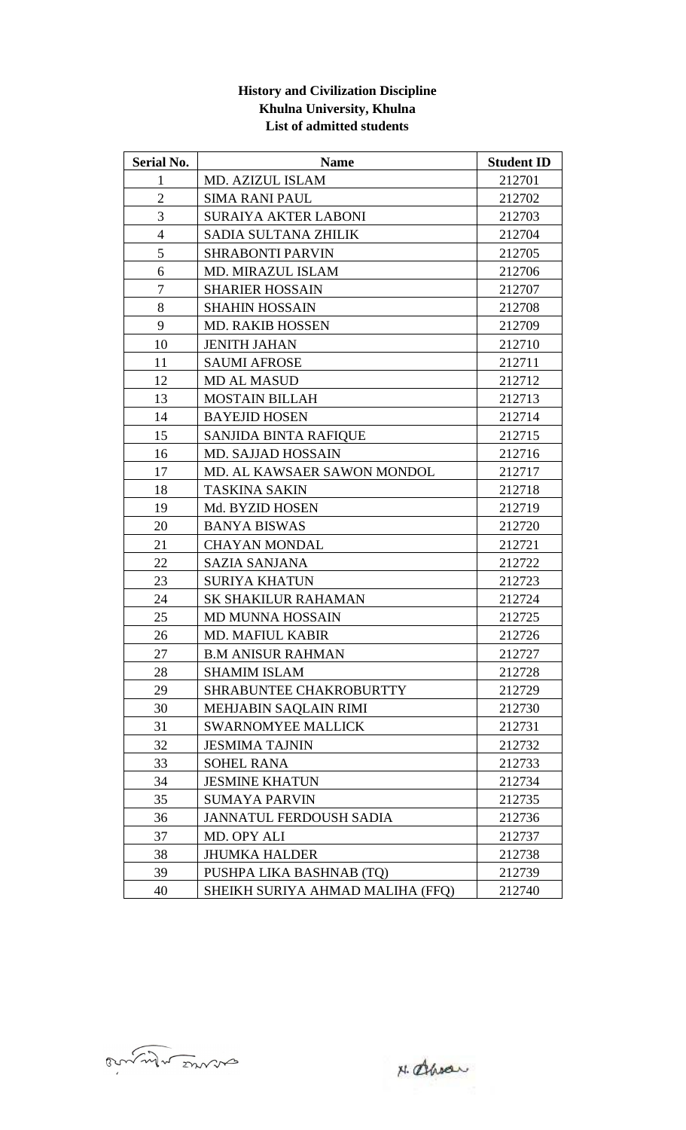| <b>History and Civilization Discipline</b> |
|--------------------------------------------|
| Khulna University, Khulna                  |
| List of admitted students                  |

| <b>Serial No.</b> | <b>Name</b>                      | <b>Student ID</b> |
|-------------------|----------------------------------|-------------------|
| $\mathbf{1}$      | MD. AZIZUL ISLAM                 | 212701            |
| $\overline{2}$    | <b>SIMA RANI PAUL</b>            | 212702            |
| 3                 | <b>SURAIYA AKTER LABONI</b>      | 212703            |
| $\overline{4}$    | SADIA SULTANA ZHILIK             | 212704            |
| 5                 | <b>SHRABONTI PARVIN</b>          | 212705            |
| 6                 | MD. MIRAZUL ISLAM                | 212706            |
| $\tau$            | <b>SHARIER HOSSAIN</b>           | 212707            |
| 8                 | <b>SHAHIN HOSSAIN</b>            | 212708            |
| 9                 | <b>MD. RAKIB HOSSEN</b>          | 212709            |
| 10                | <b>JENITH JAHAN</b>              | 212710            |
| 11                | <b>SAUMI AFROSE</b>              | 212711            |
| 12                | MD AL MASUD                      | 212712            |
| 13                | <b>MOSTAIN BILLAH</b>            | 212713            |
| 14                | <b>BAYEJID HOSEN</b>             | 212714            |
| 15                | <b>SANJIDA BINTA RAFIQUE</b>     | 212715            |
| 16                | <b>MD. SAJJAD HOSSAIN</b>        | 212716            |
| 17                | MD. AL KAWSAER SAWON MONDOL      | 212717            |
| 18                | <b>TASKINA SAKIN</b>             | 212718            |
| 19                | Md. BYZID HOSEN                  | 212719            |
| 20                | <b>BANYA BISWAS</b>              | 212720            |
| 21                | <b>CHAYAN MONDAL</b>             | 212721            |
| 22                | <b>SAZIA SANJANA</b>             | 212722            |
| 23                | <b>SURIYA KHATUN</b>             | 212723            |
| 24                | <b>SK SHAKILUR RAHAMAN</b>       | 212724            |
| 25                | <b>MD MUNNA HOSSAIN</b>          | 212725            |
| 26                | <b>MD. MAFIUL KABIR</b>          | 212726            |
| 27                | <b>B.M ANISUR RAHMAN</b>         | 212727            |
| 28                | <b>SHAMIM ISLAM</b>              | 212728            |
| 29                | SHRABUNTEE CHAKROBURTTY          | 212729            |
| 30                | MEHJABIN SAQLAIN RIMI            | 212730            |
| 31                | <b>SWARNOMYEE MALLICK</b>        | 212731            |
| 32                | <b>JESMIMA TAJNIN</b>            | 212732            |
| 33                | <b>SOHEL RANA</b>                | 212733            |
| 34                | <b>JESMINE KHATUN</b>            | 212734            |
| 35                | <b>SUMAYA PARVIN</b>             | 212735            |
| 36                | <b>JANNATUL FERDOUSH SADIA</b>   | 212736            |
| 37                | MD. OPY ALI                      | 212737            |
| 38                | <b>JHUMKA HALDER</b>             | 212738            |
| 39                | PUSHPA LIKA BASHNAB (TQ)         | 212739            |
| 40                | SHEIKH SURIYA AHMAD MALIHA (FFQ) | 212740            |

N. alhody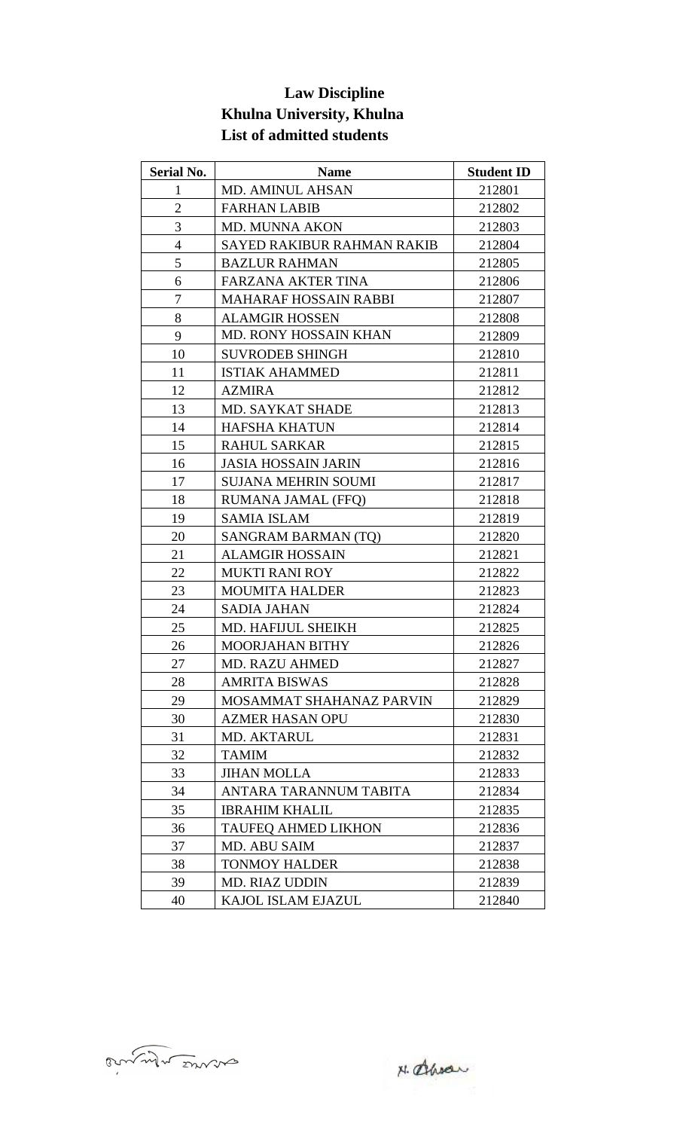# **Law Discipline Khulna University, Khulna List of admitted students**

| <b>Serial No.</b> | <b>Name</b>                       | <b>Student ID</b> |
|-------------------|-----------------------------------|-------------------|
| $\mathbf{1}$      | MD. AMINUL AHSAN                  | 212801            |
| $\overline{2}$    | <b>FARHAN LABIB</b>               | 212802            |
| 3                 | <b>MD. MUNNA AKON</b>             | 212803            |
| $\overline{4}$    | <b>SAYED RAKIBUR RAHMAN RAKIB</b> | 212804            |
| 5                 | <b>BAZLUR RAHMAN</b>              | 212805            |
| 6                 | <b>FARZANA AKTER TINA</b>         | 212806            |
| 7                 | <b>MAHARAF HOSSAIN RABBI</b>      | 212807            |
| 8                 | <b>ALAMGIR HOSSEN</b>             | 212808            |
| 9                 | <b>MD. RONY HOSSAIN KHAN</b>      | 212809            |
| 10                | <b>SUVRODEB SHINGH</b>            | 212810            |
| 11                | <b>ISTIAK AHAMMED</b>             | 212811            |
| 12                | <b>AZMIRA</b>                     | 212812            |
| 13                | MD. SAYKAT SHADE                  | 212813            |
| 14                | <b>HAFSHA KHATUN</b>              | 212814            |
| 15                | <b>RAHUL SARKAR</b>               | 212815            |
| 16                | <b>JASIA HOSSAIN JARIN</b>        | 212816            |
| 17                | <b>SUJANA MEHRIN SOUMI</b>        | 212817            |
| 18                | <b>RUMANA JAMAL (FFQ)</b>         | 212818            |
| 19                | <b>SAMIA ISLAM</b>                | 212819            |
| 20                | SANGRAM BARMAN (TQ)               | 212820            |
| 21                | <b>ALAMGIR HOSSAIN</b>            | 212821            |
| 22                | <b>MUKTI RANI ROY</b>             | 212822            |
| 23                | <b>MOUMITA HALDER</b>             | 212823            |
| 24                | <b>SADIA JAHAN</b>                | 212824            |
| 25                | MD. HAFIJUL SHEIKH                | 212825            |
| 26                | MOORJAHAN BITHY                   | 212826            |
| 27                | <b>MD. RAZU AHMED</b>             | 212827            |
| 28                | <b>AMRITA BISWAS</b>              | 212828            |
| 29                | MOSAMMAT SHAHANAZ PARVIN          | 212829            |
| 30                | <b>AZMER HASAN OPU</b>            | 212830            |
| 31                | MD. AKTARUL                       | 212831            |
| 32                | <b>TAMIM</b>                      | 212832            |
| 33                | <b>JIHAN MOLLA</b>                | 212833            |
| 34                | ANTARA TARANNUM TABITA            | 212834            |
| 35                | <b>IBRAHIM KHALIL</b>             | 212835            |
| 36                | <b>TAUFEQ AHMED LIKHON</b>        | 212836            |
| 37                | MD. ABU SAIM                      | 212837            |
| 38                | <b>TONMOY HALDER</b>              | 212838            |
| 39                | <b>MD. RIAZ UDDIN</b>             | 212839            |
| 40                | KAJOL ISLAM EJAZUL                | 212840            |

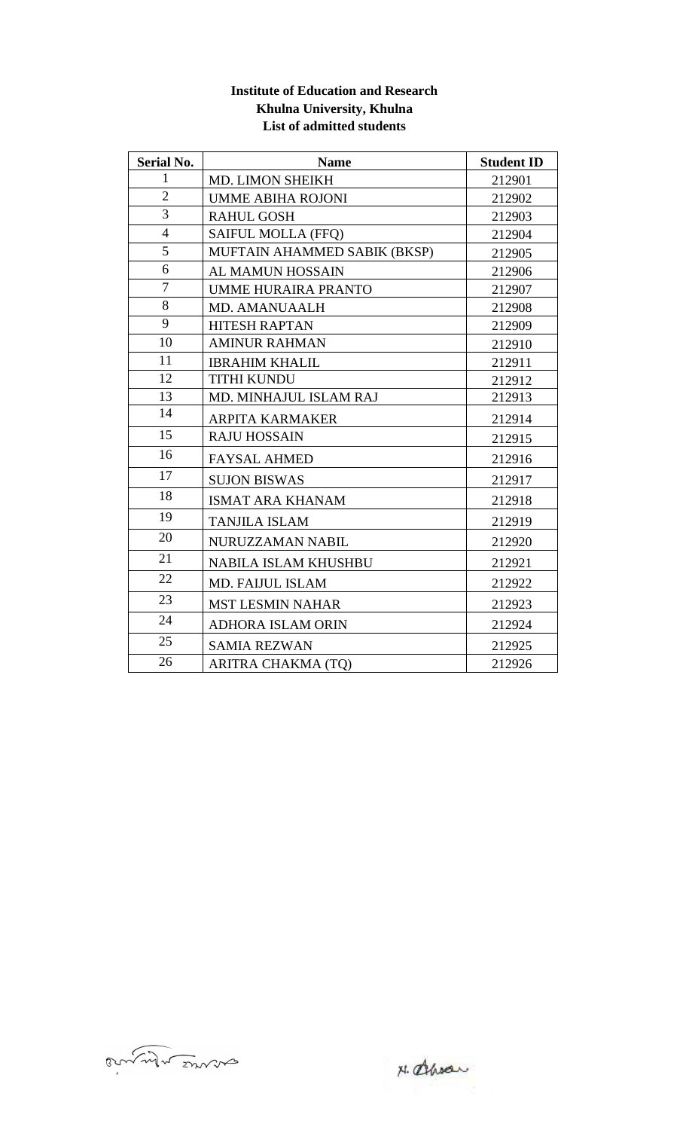#### **Institute of Education and Research Khulna University, Khulna List of admitted students**

| <b>Serial No.</b> | <b>Name</b>                  | <b>Student ID</b> |
|-------------------|------------------------------|-------------------|
| $\mathbf{1}$      | MD. LIMON SHEIKH             | 212901            |
| $\overline{2}$    | <b>UMME ABIHA ROJONI</b>     | 212902            |
| $\overline{3}$    | <b>RAHUL GOSH</b>            | 212903            |
| $\overline{4}$    | <b>SAIFUL MOLLA (FFQ)</b>    | 212904            |
| 5                 | MUFTAIN AHAMMED SABIK (BKSP) | 212905            |
| 6                 | <b>AL MAMUN HOSSAIN</b>      | 212906            |
| $\tau$            | <b>UMME HURAIRA PRANTO</b>   | 212907            |
| 8                 | MD. AMANUAALH                | 212908            |
| 9                 | <b>HITESH RAPTAN</b>         | 212909            |
| 10                | <b>AMINUR RAHMAN</b>         | 212910            |
| 11                | <b>IBRAHIM KHALIL</b>        | 212911            |
| 12                | <b>TITHI KUNDU</b>           | 212912            |
| 13                | MD. MINHAJUL ISLAM RAJ       | 212913            |
| 14                | <b>ARPITA KARMAKER</b>       | 212914            |
| 15                | <b>RAJU HOSSAIN</b>          | 212915            |
| 16                | <b>FAYSAL AHMED</b>          | 212916            |
| 17                | <b>SUJON BISWAS</b>          | 212917            |
| 18                | <b>ISMAT ARA KHANAM</b>      | 212918            |
| 19                | <b>TANJILA ISLAM</b>         | 212919            |
| 20                | NURUZZAMAN NABIL             | 212920            |
| 21                | NABILA ISLAM KHUSHBU         | 212921            |
| 22                | <b>MD. FAIJUL ISLAM</b>      | 212922            |
| 23                | <b>MST LESMIN NAHAR</b>      | 212923            |
| 24                | <b>ADHORA ISLAM ORIN</b>     | 212924            |
| 25                | <b>SAMIA REZWAN</b>          | 212925            |
| 26                | ARITRA CHAKMA (TO)           | 212926            |

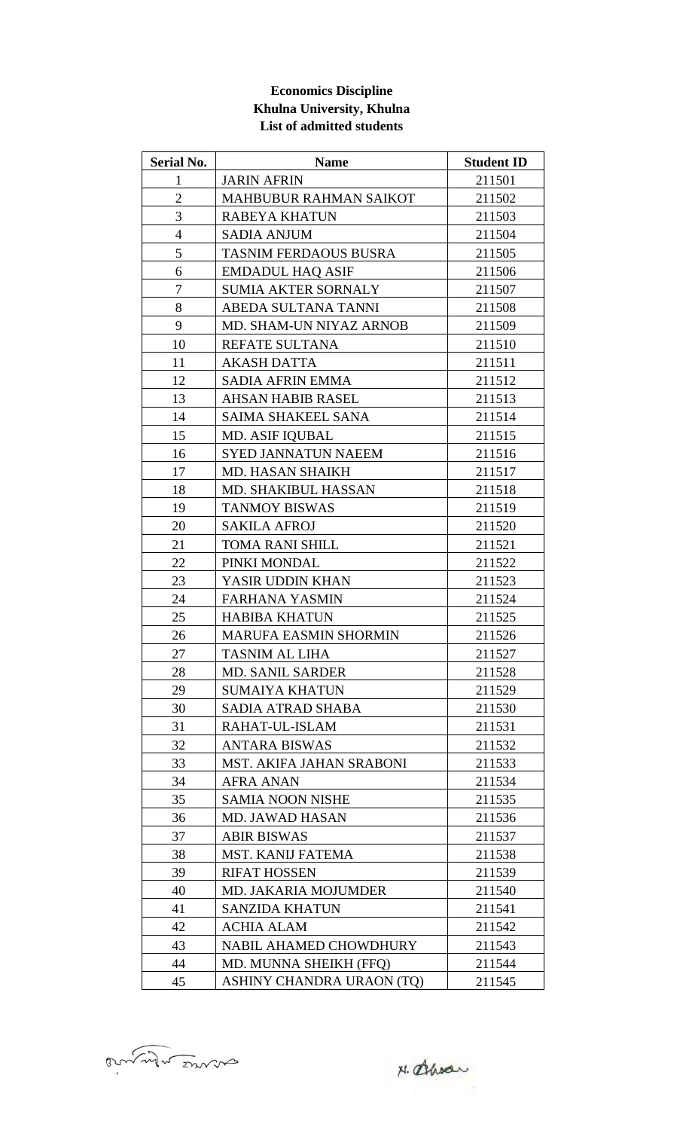## **Economics Discipline Khulna University, Khulna List of admitted students**

| <b>Serial No.</b> | <b>Name</b>                   | <b>Student ID</b> |
|-------------------|-------------------------------|-------------------|
| $\mathbf{1}$      | <b>JARIN AFRIN</b>            | 211501            |
| $\overline{2}$    | <b>MAHBUBUR RAHMAN SAIKOT</b> | 211502            |
| 3                 | RABEYA KHATUN                 | 211503            |
| $\overline{4}$    | <b>SADIA ANJUM</b>            | 211504            |
| 5                 | <b>TASNIM FERDAOUS BUSRA</b>  | 211505            |
| 6                 | <b>EMDADUL HAQ ASIF</b>       | 211506            |
| 7                 | <b>SUMIA AKTER SORNALY</b>    | 211507            |
| 8                 | ABEDA SULTANA TANNI           | 211508            |
| 9                 | MD. SHAM-UN NIYAZ ARNOB       | 211509            |
| 10                | REFATE SULTANA                | 211510            |
| 11                | <b>AKASH DATTA</b>            | 211511            |
| 12                | <b>SADIA AFRIN EMMA</b>       | 211512            |
| 13                | <b>AHSAN HABIB RASEL</b>      | 211513            |
| 14                | <b>SAIMA SHAKEEL SANA</b>     | 211514            |
| 15                | <b>MD. ASIF IQUBAL</b>        | 211515            |
| 16                | <b>SYED JANNATUN NAEEM</b>    | 211516            |
| 17                | <b>MD. HASAN SHAIKH</b>       | 211517            |
| 18                | MD. SHAKIBUL HASSAN           | 211518            |
| 19                | <b>TANMOY BISWAS</b>          | 211519            |
| 20                | <b>SAKILA AFROJ</b>           | 211520            |
| 21                | TOMA RANI SHILL               | 211521            |
| 22                | PINKI MONDAL                  | 211522            |
| 23                | YASIR UDDIN KHAN              | 211523            |
| 24                | <b>FARHANA YASMIN</b>         | 211524            |
| 25                | <b>HABIBA KHATUN</b>          | 211525            |
| 26                | MARUFA EASMIN SHORMIN         | 211526            |
| 27                | TASNIM AL LIHA                | 211527            |
| 28                | <b>MD. SANIL SARDER</b>       | 211528            |
| 29                | <b>SUMAIYA KHATUN</b>         | 211529            |
| 30                | SADIA ATRAD SHABA             | 211530            |
| 31                | RAHAT-UL-ISLAM                | 211531            |
| 32                | ANTARA BISWAS                 | 211532            |
| 33                | MST. AKIFA JAHAN SRABONI      | 211533            |
| 34                | <b>AFRA ANAN</b>              | 211534            |
| 35                | <b>SAMIA NOON NISHE</b>       | 211535            |
| 36                | <b>MD. JAWAD HASAN</b>        | 211536            |
| 37                | <b>ABIR BISWAS</b>            | 211537            |
| 38                | MST. KANIJ FATEMA             | 211538            |
| 39                | <b>RIFAT HOSSEN</b>           | 211539            |
| 40                | MD. JAKARIA MOJUMDER          | 211540            |
| 41                | <b>SANZIDA KHATUN</b>         | 211541            |
| 42                | <b>ACHIA ALAM</b>             | 211542            |
| 43                | NABIL AHAMED CHOWDHURY        | 211543            |
| 44                | MD. MUNNA SHEIKH (FFQ)        | 211544            |
| 45                | ASHINY CHANDRA URAON (TQ)     | 211545            |

annul mons

N. alhodr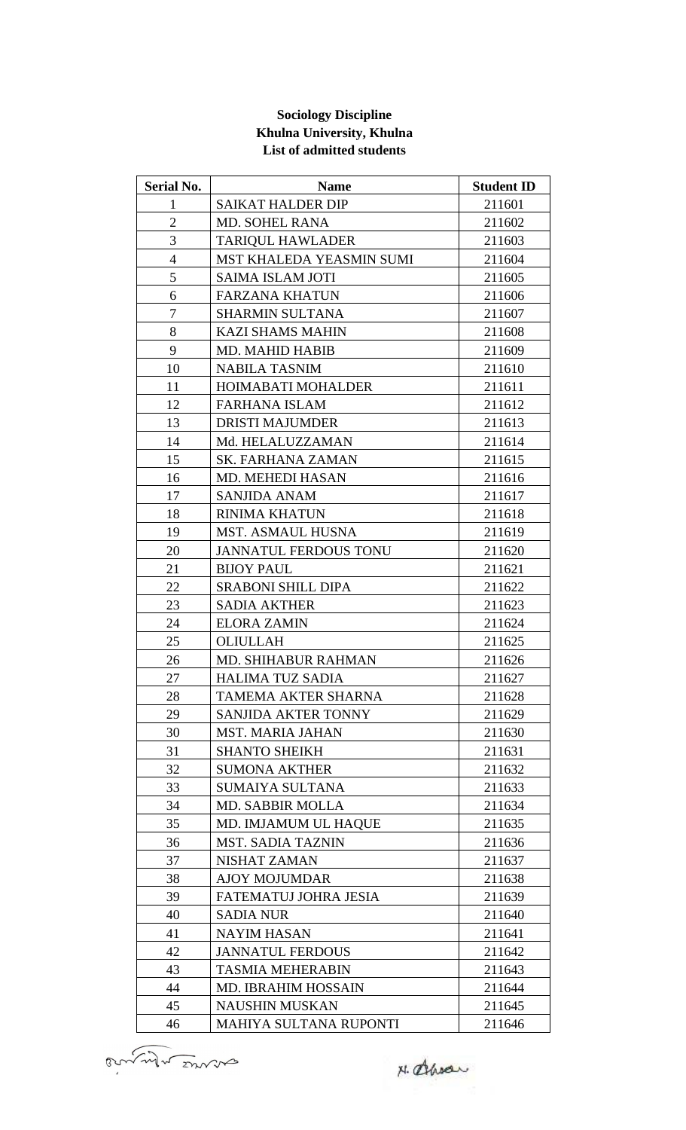#### **Sociology Discipline Khulna University, Khulna List of admitted students**

| <b>Serial No.</b> | <b>Name</b>                  | <b>Student ID</b> |
|-------------------|------------------------------|-------------------|
| $\mathbf{1}$      | <b>SAIKAT HALDER DIP</b>     | 211601            |
| $\mathbf{2}$      | <b>MD. SOHEL RANA</b>        | 211602            |
| 3                 | <b>TARIQUL HAWLADER</b>      | 211603            |
| $\overline{4}$    | MST KHALEDA YEASMIN SUMI     | 211604            |
| 5                 | <b>SAIMA ISLAM JOTI</b>      | 211605            |
| 6                 | <b>FARZANA KHATUN</b>        | 211606            |
| $\tau$            | <b>SHARMIN SULTANA</b>       | 211607            |
| 8                 | <b>KAZI SHAMS MAHIN</b>      | 211608            |
| 9                 | MD. MAHID HABIB              | 211609            |
| 10                | <b>NABILA TASNIM</b>         | 211610            |
| 11                | <b>HOIMABATI MOHALDER</b>    | 211611            |
| 12                | <b>FARHANA ISLAM</b>         | 211612            |
| 13                | <b>DRISTI MAJUMDER</b>       | 211613            |
| 14                | Md. HELALUZZAMAN             | 211614            |
| 15                | SK. FARHANA ZAMAN            | 211615            |
| 16                | <b>MD. MEHEDI HASAN</b>      | 211616            |
| 17                | <b>SANJIDA ANAM</b>          | 211617            |
| 18                | <b>RINIMA KHATUN</b>         | 211618            |
| 19                | <b>MST. ASMAUL HUSNA</b>     | 211619            |
| 20                | <b>JANNATUL FERDOUS TONU</b> | 211620            |
| 21                | <b>BIJOY PAUL</b>            | 211621            |
| 22                | <b>SRABONI SHILL DIPA</b>    | 211622            |
| 23                | <b>SADIA AKTHER</b>          | 211623            |
| 24                | <b>ELORA ZAMIN</b>           | 211624            |
| 25                | <b>OLIULLAH</b>              | 211625            |
| 26                | <b>MD. SHIHABUR RAHMAN</b>   | 211626            |
| 27                | HALIMA TUZ SADIA             | 211627            |
| 28                | TAMEMA AKTER SHARNA          | 211628            |
| 29                | SANJIDA AKTER TONNY          | 211629            |
| 30                | <b>MST. MARIA JAHAN</b>      | 211630            |
| 31                | <b>SHANTO SHEIKH</b>         | 211631            |
| 32                | <b>SUMONA AKTHER</b>         | 211632            |
| 33                | <b>SUMAIYA SULTANA</b>       | 211633            |
| 34                | <b>MD. SABBIR MOLLA</b>      | 211634            |
| 35                | MD. IMJAMUM UL HAQUE         | 211635            |
| 36                | <b>MST. SADIA TAZNIN</b>     | 211636            |
| 37                | NISHAT ZAMAN                 | 211637            |
| 38                | <b>AJOY MOJUMDAR</b>         | 211638            |
| 39                | FATEMATUJ JOHRA JESIA        | 211639            |
| 40                | <b>SADIA NUR</b>             | 211640            |
| 41                | <b>NAYIM HASAN</b>           | 211641            |
| 42                | <b>JANNATUL FERDOUS</b>      | 211642            |
| 43                | <b>TASMIA MEHERABIN</b>      | 211643            |
| 44                | <b>MD. IBRAHIM HOSSAIN</b>   | 211644            |
| 45                | <b>NAUSHIN MUSKAN</b>        | 211645            |
| 46                | MAHIYA SULTANA RUPONTI       | 211646            |

Bunnet monde

N. Ahran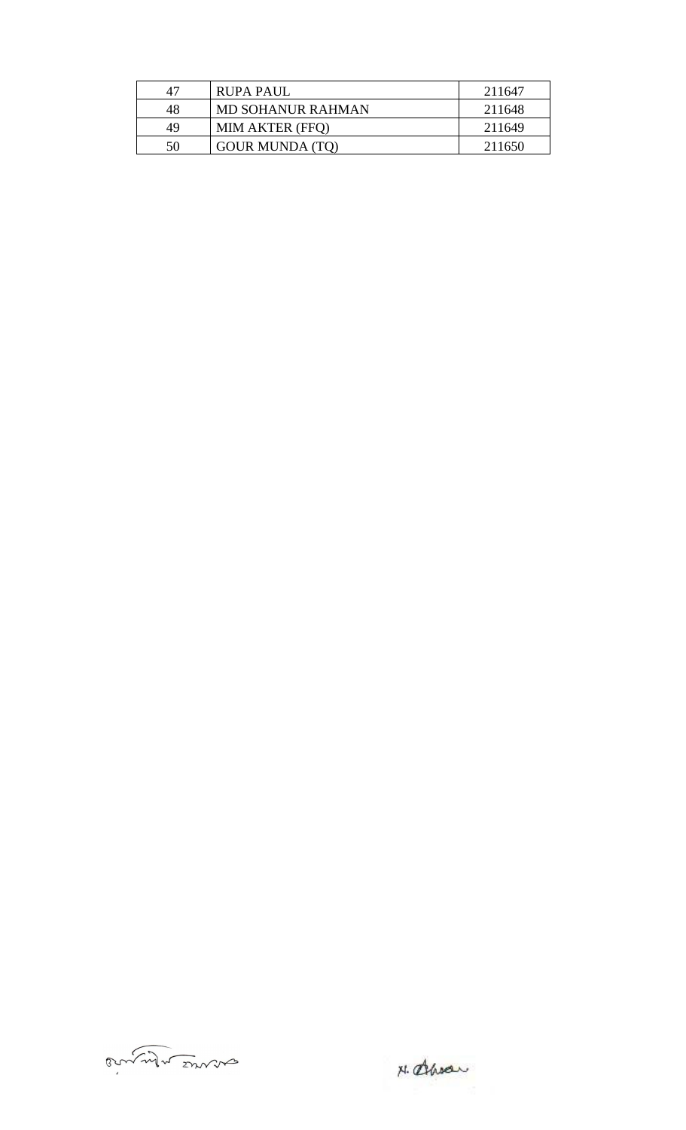| 47 | <b>RUPA PAUL</b>       | 211647 |
|----|------------------------|--------|
| 48 | MD SOHANUR RAHMAN      | 211648 |
| 49 | <b>MIM AKTER (FFQ)</b> | 211649 |
| 50 | <b>GOUR MUNDA (TQ)</b> | 211650 |

anner mon

N. alhody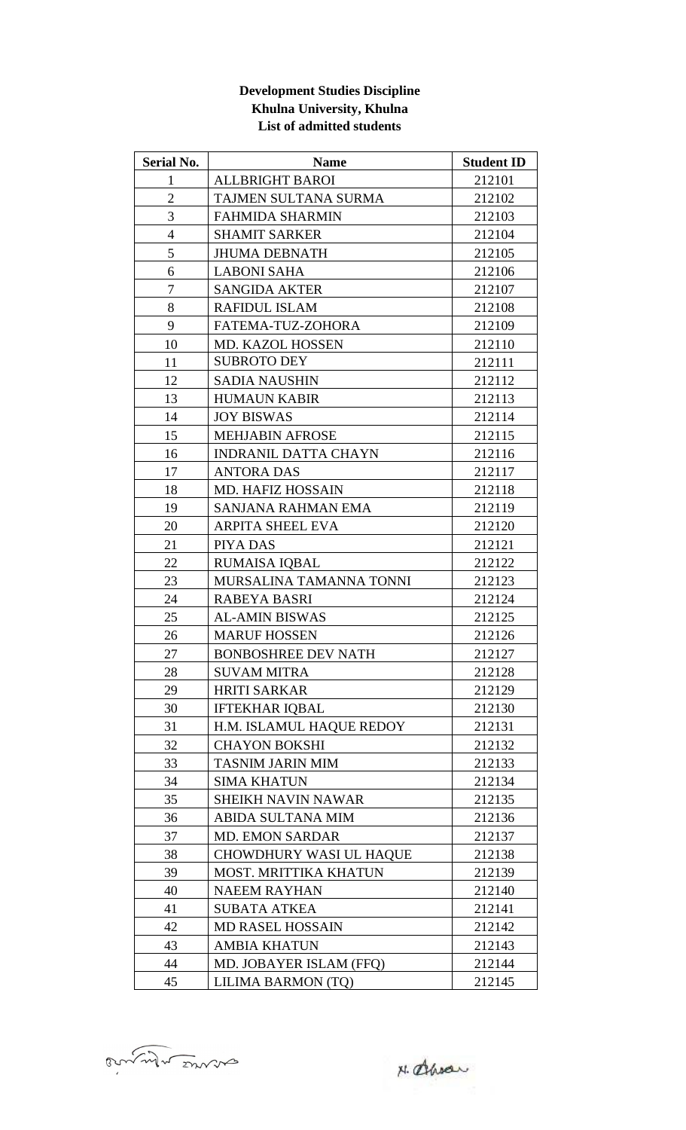### **Development Studies Discipline Khulna University, Khulna List of admitted students**

| Serial No.       | <b>Name</b>                    | <b>Student ID</b> |
|------------------|--------------------------------|-------------------|
| $\mathbf{1}$     | <b>ALLBRIGHT BAROI</b>         | 212101            |
| $\overline{2}$   | TAJMEN SULTANA SURMA           | 212102            |
| 3                | <b>FAHMIDA SHARMIN</b>         | 212103            |
| $\overline{4}$   | <b>SHAMIT SARKER</b>           | 212104            |
| 5                | <b>JHUMA DEBNATH</b>           | 212105            |
| 6                | <b>LABONI SAHA</b>             | 212106            |
| $\boldsymbol{7}$ | <b>SANGIDA AKTER</b>           | 212107            |
| 8                | <b>RAFIDUL ISLAM</b>           | 212108            |
| 9                | FATEMA-TUZ-ZOHORA              | 212109            |
| 10               | MD. KAZOL HOSSEN               | 212110            |
| 11               | <b>SUBROTO DEY</b>             | 212111            |
| 12               | <b>SADIA NAUSHIN</b>           | 212112            |
| 13               | <b>HUMAUN KABIR</b>            | 212113            |
| 14               | <b>JOY BISWAS</b>              | 212114            |
| 15               | <b>MEHJABIN AFROSE</b>         | 212115            |
| 16               | <b>INDRANIL DATTA CHAYN</b>    | 212116            |
| 17               | <b>ANTORA DAS</b>              | 212117            |
| 18               | <b>MD. HAFIZ HOSSAIN</b>       | 212118            |
| 19               | SANJANA RAHMAN EMA             | 212119            |
| 20               | <b>ARPITA SHEEL EVA</b>        | 212120            |
| 21               | PIYA DAS                       | 212121            |
| 22               | <b>RUMAISA IQBAL</b>           | 212122            |
| 23               | MURSALINA TAMANNA TONNI        | 212123            |
| 24               | <b>RABEYA BASRI</b>            | 212124            |
| 25               | <b>AL-AMIN BISWAS</b>          | 212125            |
| 26               | <b>MARUF HOSSEN</b>            | 212126            |
| 27               | BONBOSHREE DEV NATH            | 212127            |
| 28               | <b>SUVAM MITRA</b>             | 212128            |
| 29               | <b>HRITI SARKAR</b>            | 212129            |
| 30               | <b>IFTEKHAR IOBAL</b>          | 212130            |
| 31               | H.M. ISLAMUL HAQUE REDOY       | 212131            |
| 32               | <b>CHAYON BOKSHI</b>           | 212132            |
| 33               | <b>TASNIM JARIN MIM</b>        | 212133            |
| 34               | <b>SIMA KHATUN</b>             | 212134            |
| 35               | <b>SHEIKH NAVIN NAWAR</b>      | 212135            |
| 36               | <b>ABIDA SULTANA MIM</b>       | 212136            |
| 37               | <b>MD. EMON SARDAR</b>         | 212137            |
| 38               | <b>CHOWDHURY WASI UL HAQUE</b> | 212138            |
| 39               | <b>MOST. MRITTIKA KHATUN</b>   | 212139            |
| 40               | <b>NAEEM RAYHAN</b>            | 212140            |
| 41               | <b>SUBATA ATKEA</b>            | 212141            |
| 42               | <b>MD RASEL HOSSAIN</b>        | 212142            |
| 43               | <b>AMBIA KHATUN</b>            | 212143            |
| 44               | MD. JOBAYER ISLAM (FFQ)        | 212144            |
| 45               | LILIMA BARMON (TQ)             | 212145            |

anner mons

N. alhoder